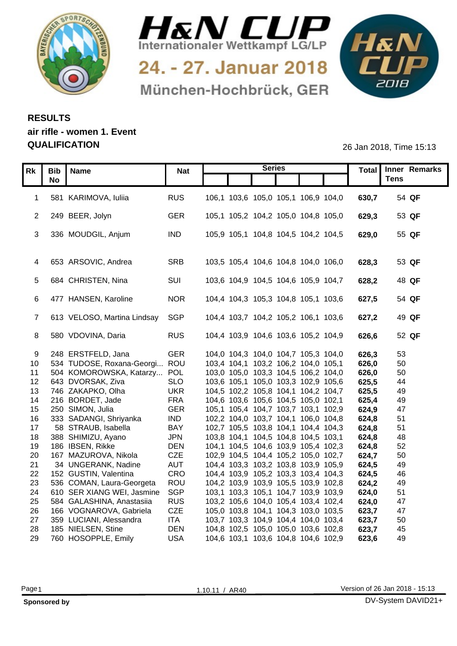



24. - 27. Januar 2018 München-Hochbrück, GER



## **RESULTS air rifle - women 1. Event QUALIFICATION** 26 Jan 2018, Time 15:13

|    | Rk   Bib   Name                              | <b>Nat</b>               |                                                                            | <b>Series</b> |                | Total Inner Remarks<br><b>Tens</b> |
|----|----------------------------------------------|--------------------------|----------------------------------------------------------------------------|---------------|----------------|------------------------------------|
|    | <b>No</b>                                    |                          |                                                                            |               |                |                                    |
|    | 581 KARIMOVA, luliia                         | <b>RUS</b>               | 106,1 103,6 105,0 105,1 106,9 104,0                                        |               | 630,7          | 54 QF                              |
|    |                                              |                          |                                                                            |               |                |                                    |
|    | 2 249 BEER, Jolyn                            | GER                      | 105,1 105,2 104,2 105,0 104,8 105,0                                        |               | 629,3          | 53 QF                              |
|    | 3 336 MOUDGIL, Anjum                         | <b>IND</b>               | 105,9 105,1 104,8 104,5 104,2 104,5                                        |               | 629,0          | 55 QF                              |
|    |                                              |                          |                                                                            |               |                |                                    |
|    |                                              |                          |                                                                            |               |                |                                    |
|    | 4 653 ARSOVIC, Andrea                        | SRB                      | 103,5 105,4 104,6 104,8 104,0 106,0                                        |               | 628,3          | 53 QF                              |
|    | 5 684 CHRISTEN, Nina                         | SUI                      | 103,6 104,9 104,5 104,6 105,9 104,7                                        |               | 628,2          | 48 QF                              |
|    |                                              |                          |                                                                            |               |                |                                    |
|    | 6 477 HANSEN, Karoline                       | <b>NOR</b>               | 104,4 104,3 105,3 104,8 105,1 103,6                                        |               | 627,5          | 54 QF                              |
|    |                                              |                          |                                                                            |               |                |                                    |
|    | 7 613 VELOSO, Martina Lindsay                | SGP                      | 104,4 103,7 104,2 105,2 106,1 103,6                                        |               | 627,2          | 49 QF                              |
|    |                                              |                          |                                                                            |               |                |                                    |
|    | 8 580 VDOVINA, Daria                         | <b>RUS</b>               | 104,4 103,9 104,6 103,6 105,2 104,9                                        |               | 626,6          | 52 QF                              |
|    | 9 248 ERSTFELD, Jana                         | <b>GER</b>               | 104,0 104,3 104,0 104,7 105,3 104,0                                        |               | 626,3          | 53                                 |
|    | 10 534 TUDOSE, Roxana-Georgi ROU             |                          | 103,4 104,1 103,2 106,2 104,0 105,1                                        |               | 626,0          | 50                                 |
| 11 | 504 KOMOROWSKA, Katarzy POL                  |                          | 103,0 105,0 103,3 104,5 106,2 104,0                                        |               | 626,0          | 50                                 |
|    | 12 643 DVORSAK, Ziva                         | <b>SLO</b>               | 103,6 105,1 105,0 103,3 102,9 105,6                                        |               | 625,5          | 44                                 |
|    | 13 746 ZAKAPKO, Olha                         | <b>UKR</b>               | 104,5 102,2 105,8 104,1 104,2 104,7                                        |               | 625,5          | 49                                 |
|    | 14 216 BORDET, Jade                          | <b>FRA</b>               | 104,6 103,6 105,6 104,5 105,0 102,1                                        |               | 625,4          | 49                                 |
|    | 15 250 SIMON, Julia                          | <b>GER</b>               | 105,1 105,4 104,7 103,7 103,1 102,9                                        |               | 624,9          | 47                                 |
|    | 16 333 SADANGI, Shriyanka                    | <b>IND</b>               | 102,2 104,0 103,7 104,1 106,0 104,8                                        |               | 624,8          | 51                                 |
| 17 | 58 STRAUB, Isabella                          | <b>BAY</b>               | 102,7 105,5 103,8 104,1 104,4 104,3                                        |               | 624,8          | 51                                 |
|    | 18 388 SHIMIZU, Ayano<br>19 186 IBSEN, Rikke | <b>JPN</b><br><b>DEN</b> | 103,8 104,1 104,5 104,8 104,5 103,1<br>104,1 104,5 104,6 103,9 105,4 102,3 |               | 624,8<br>624,8 | 48<br>52                           |
| 20 | 167 MAZUROVA, Nikola                         | <b>CZE</b>               | 102,9 104,5 104,4 105,2 105,0 102,7                                        |               | 624,7          | 50                                 |
| 21 | 34 UNGERANK, Nadine                          | <b>AUT</b>               | 104,4 103,3 103,2 103,8 103,9 105,9                                        |               | 624,5          | 49                                 |
|    | 22 152 GUSTIN, Valentina                     | CRO                      | 104,4 103,9 105,2 103,3 103,4 104,3                                        |               | 624,5          | 46                                 |
| 23 | 536 COMAN, Laura-Georgeta                    | ROU                      | 104,2 103,9 103,9 105,5 103,9 102,8                                        |               | 624,2          | 49                                 |
| 24 | 610 SER XIANG WEI, Jasmine                   | SGP                      | 103,1 103,3 105,1 104,7 103,9 103,9                                        |               | 624,0          | -51                                |
| 25 | 584 GALASHINA, Anastasiia                    | <b>RUS</b>               | 103,2 105,6 104,0 105,4 103,4 102,4                                        |               | 624,0          | 47                                 |
| 26 | 166 VOGNAROVA, Gabriela                      | <b>CZE</b>               | 105,0 103,8 104,1 104,3 103,0 103,5                                        |               | 623,7          | 47                                 |
| 27 | 359 LUCIANI, Alessandra                      | <b>ITA</b>               | 103,7 103,3 104,9 104,4 104,0 103,4                                        |               | 623,7          | 50                                 |
| 28 | 185 NIELSEN, Stine<br>29 760 HOSOPPLE, Emily | <b>DEN</b><br><b>USA</b> | 104,8 102,5 105,0 105,0 103,6 102,8                                        |               | 623,7<br>623,6 | 45<br>49                           |
|    |                                              |                          | 104,6 103,1 103,6 104,8 104,6 102,9                                        |               |                |                                    |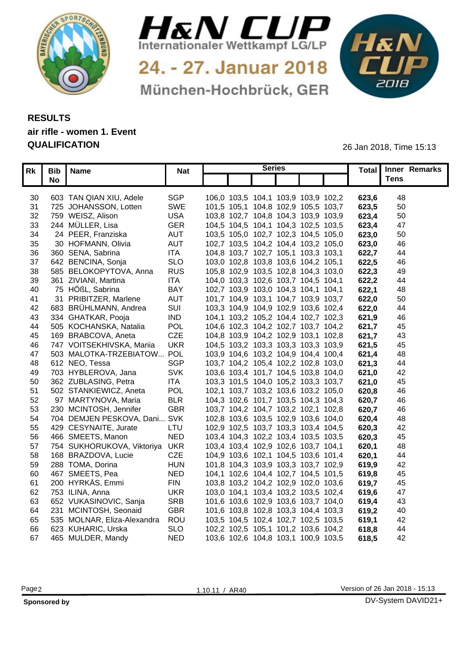



24. - 27. Januar 2018 München-Hochbrück, GER



## **RESULTS air rifle - women 1. Event QUALIFICATION** 26 Jan 2018, Time 15:13

| <b>Rk</b> I | <b>Bib</b><br>I Name           | <b>Nat</b> | <b>Series</b>                       |  |       | Total Inner Remarks |  |
|-------------|--------------------------------|------------|-------------------------------------|--|-------|---------------------|--|
|             | No                             |            |                                     |  |       | <b>Tens</b>         |  |
|             |                                |            |                                     |  |       |                     |  |
| 30          | 603 TAN QIAN XIU, Adele        | SGP        | 106,0 103,5 104,1 103,9 103,9 102,2 |  | 623,6 | 48                  |  |
| 31          | 725 JOHANSSON, Lotten          | SWE        | 101,5 105,1 104,8 102,9 105,5 103,7 |  | 623,5 | 50                  |  |
|             | 32 759 WEISZ, Alison           | <b>USA</b> | 103,8 102,7 104,8 104,3 103,9 103,9 |  | 623,4 | 50                  |  |
| 33          | 244 MÜLLER, Lisa               | <b>GER</b> | 104,5 104,5 104,1 104,3 102,5 103,5 |  | 623,4 | 47                  |  |
| 34          | 24 PEER, Franziska             | <b>AUT</b> | 103,5 105,0 102,7 102,3 104,5 105,0 |  | 623,0 | 50                  |  |
| 35          | 30 HOFMANN, Olivia             | <b>AUT</b> | 102,7 103,5 104,2 104,4 103,2 105,0 |  | 623,0 | 46                  |  |
| 36          | 360 SENA, Sabrina              | <b>ITA</b> | 104,8 103,7 102,7 105,1 103,3 103,1 |  | 622,7 | -44                 |  |
| 37          | 642 BENCINA, Sonja             | <b>SLO</b> | 103,0 102,8 103,8 103,6 104,2 105,1 |  | 622,5 | 46                  |  |
| 38          | 585 BELOKOPYTOVA, Anna         | <b>RUS</b> | 105,8 102,9 103,5 102,8 104,3 103,0 |  | 622,3 | -49                 |  |
| 39          | 361 ZIVIANI, Martina           | <b>ITA</b> | 104,0 103,3 102,6 103,7 104,5 104,1 |  | 622,2 | 44                  |  |
| 40          | 75 HÖßL, Sabrina               | <b>BAY</b> | 102,7 103,9 103,0 104,3 104,1 104,1 |  | 622,1 | 48                  |  |
| 41          | 31 PRIBITZER, Marlene          | <b>AUT</b> | 101,7 104,9 103,1 104,7 103,9 103,7 |  | 622,0 | 50                  |  |
| 42          | 683 BRÜHLMANN, Andrea          | SUI        | 103,3 104,9 104,9 102,9 103,6 102,4 |  | 622,0 | 44                  |  |
| 43          | 334 GHATKAR, Pooja             | <b>IND</b> | 104,1 103,2 105,2 104,4 102,7 102,3 |  | 621,9 | 46                  |  |
| 44          | 505 KOCHANSKA, Natalia         | <b>POL</b> | 104,6 102,3 104,2 102,7 103,7 104,2 |  | 621,7 | 45                  |  |
| 45          | 169 BRABCOVA, Aneta            | CZE        | 104,8 103,9 104,2 102,9 103,1 102,8 |  | 621,7 | 43                  |  |
| 46          | 747 VOITSEKHIVSKA, Mariia      | <b>UKR</b> | 104,5 103,2 103,3 103,3 103,3 103,9 |  | 621,5 | 45                  |  |
| 47          | 503 MALOTKA-TRZEBIATOW POL     |            | 103,9 104,6 103,2 104,9 104,4 100,4 |  | 621,  | 48                  |  |
| 48          | 612 NEO, Tessa                 | <b>SGP</b> | 103,7 104,2 105,4 102,2 102,8 103,0 |  | 621.3 | 44                  |  |
| 49          | 703 HYBLEROVA, Jana            | <b>SVK</b> | 103,6 103,4 101,7 104,5 103,8 104,0 |  | 621,0 | -42                 |  |
| 50          | 362 ZUBLASING, Petra           | <b>ITA</b> | 103,3 101,5 104,0 105,2 103,3 103,7 |  | 621,0 | 45                  |  |
| 51          | 502 STANKIEWICZ, Aneta         | <b>POL</b> | 102,1 103,7 103,2 103,6 103,2 105,0 |  | 620,8 | 46                  |  |
| 52          | 97 MARTYNOVA, Maria            | <b>BLR</b> | 104,3 102,6 101,7 103,5 104,3 104,3 |  | 620,7 | 46                  |  |
| 53          | 230 MCINTOSH, Jennifer         | <b>GBR</b> | 103,7 104,2 104,7 103,2 102,1 102,8 |  | 620,7 | $\overline{4}$      |  |
| 54          | 704 DEMJEN PESKOVA, Dani SVK   |            | 102,8 103,6 103,5 102,9 103,6 104,0 |  | 620,  | 4۶                  |  |
| 55          | 429 CESYNAITE, Jurate          | LTU        | 102,9 102,5 103,7 103,3 103,4 104,5 |  | 620,3 | 42                  |  |
| 56          | 466 SMEETS, Manon              | <b>NED</b> | 103,4 104,3 102,2 103,4 103,5 103,5 |  | 620,  | 45                  |  |
| 57          | 754 SUKHORUKOVA, Viktoriya UKR |            | 103,4 103,4 102,9 102,6 103,7 104,1 |  | 620,  | 48                  |  |
| 58          | 168 BRAZDOVA, Lucie            | <b>CZE</b> | 104,9 103,6 102,1 104,5 103,6 101,4 |  | 620,7 | 44                  |  |
| 59          | 288 TOMA, Dorina               | <b>HUN</b> | 101,8 104,3 103,9 103,3 103,7 102,9 |  | 619,9 | 42                  |  |
| 60          | 467 SMEETS, Pea                | <b>NED</b> | 104,1 102,6 104,4 102,7 104,5 101,5 |  | 619,8 | 45                  |  |
| 61          | 200 HYRKÄS, Emmi               | <b>FIN</b> | 103,8 103,2 104,2 102,9 102,0 103,6 |  | 619,7 | 45                  |  |
|             | 62 753 ILINA, Anna             | <b>UKR</b> | 103,0 104,1 103,4 103,2 103,5 102,4 |  | 619,6 | 47                  |  |
| 63          | 652 VUKASINOVIC, Sanja         | <b>SRB</b> | 101,6 103,6 102,9 103,6 103,7 104,0 |  | 619,4 | 43                  |  |
| 64          | 231 MCINTOSH, Seonaid          | <b>GBR</b> | 101,6 103,8 102,8 103,3 104,4 103,3 |  | 619,2 | 4(                  |  |
| 65          | 535 MOLNAR, Eliza-Alexandra    | ROU        | 103,5 104,5 102,4 102,7 102,5 103,5 |  | 619,1 | 42                  |  |
|             | 66 623 KUHARIC, Urska          | <b>SLO</b> | 102,2 102,5 105,1 101,2 103,6 104,2 |  | 618.8 | 44                  |  |
|             | 67 465 MULDER, Mandy           | <b>NED</b> | 103,6 102,6 104,8 103,1 100,9 103,5 |  | 618,5 | 42                  |  |
|             |                                |            |                                     |  |       |                     |  |